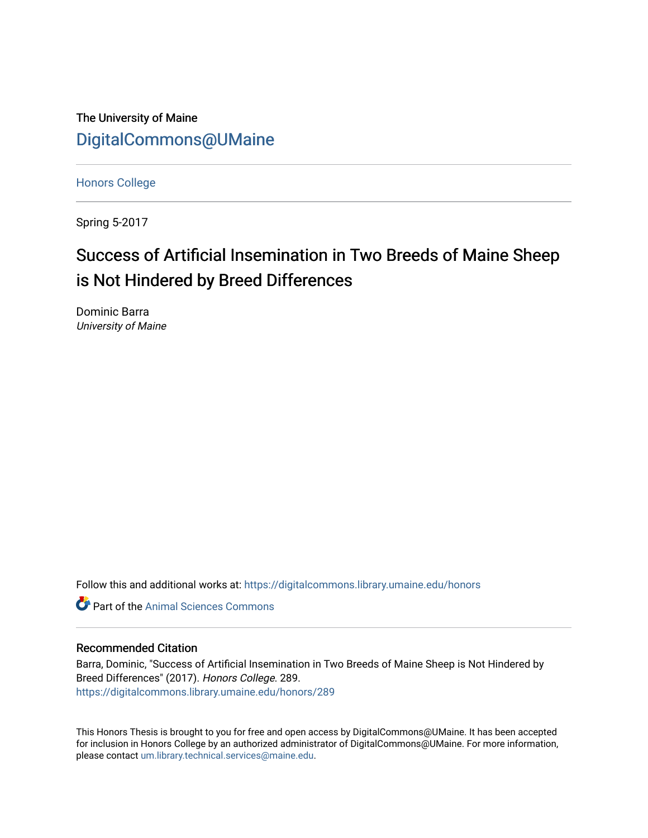The University of Maine [DigitalCommons@UMaine](https://digitalcommons.library.umaine.edu/)

[Honors College](https://digitalcommons.library.umaine.edu/honors)

Spring 5-2017

# Success of Artificial Insemination in Two Breeds of Maine Sheep is Not Hindered by Breed Differences

Dominic Barra University of Maine

Follow this and additional works at: [https://digitalcommons.library.umaine.edu/honors](https://digitalcommons.library.umaine.edu/honors?utm_source=digitalcommons.library.umaine.edu%2Fhonors%2F289&utm_medium=PDF&utm_campaign=PDFCoverPages) 

**C** Part of the Animal Sciences Commons

#### Recommended Citation

Barra, Dominic, "Success of Artificial Insemination in Two Breeds of Maine Sheep is Not Hindered by Breed Differences" (2017). Honors College. 289. [https://digitalcommons.library.umaine.edu/honors/289](https://digitalcommons.library.umaine.edu/honors/289?utm_source=digitalcommons.library.umaine.edu%2Fhonors%2F289&utm_medium=PDF&utm_campaign=PDFCoverPages) 

This Honors Thesis is brought to you for free and open access by DigitalCommons@UMaine. It has been accepted for inclusion in Honors College by an authorized administrator of DigitalCommons@UMaine. For more information, please contact [um.library.technical.services@maine.edu.](mailto:um.library.technical.services@maine.edu)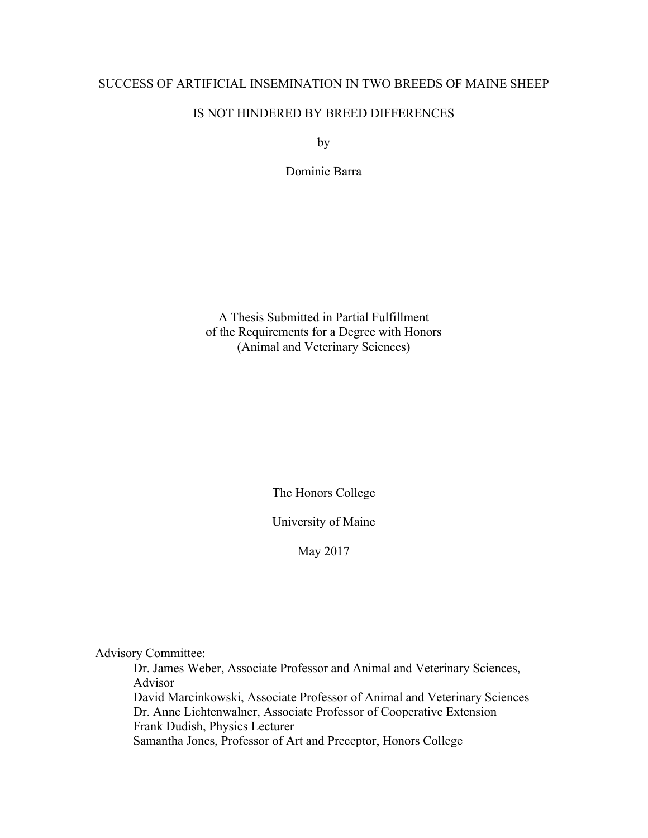# SUCCESS OF ARTIFICIAL INSEMINATION IN TWO BREEDS OF MAINE SHEEP

# IS NOT HINDERED BY BREED DIFFERENCES

by

Dominic Barra

A Thesis Submitted in Partial Fulfillment of the Requirements for a Degree with Honors (Animal and Veterinary Sciences)

The Honors College

University of Maine

May 2017

Advisory Committee:

Dr. James Weber, Associate Professor and Animal and Veterinary Sciences, Advisor David Marcinkowski, Associate Professor of Animal and Veterinary Sciences Dr. Anne Lichtenwalner, Associate Professor of Cooperative Extension Frank Dudish, Physics Lecturer Samantha Jones, Professor of Art and Preceptor, Honors College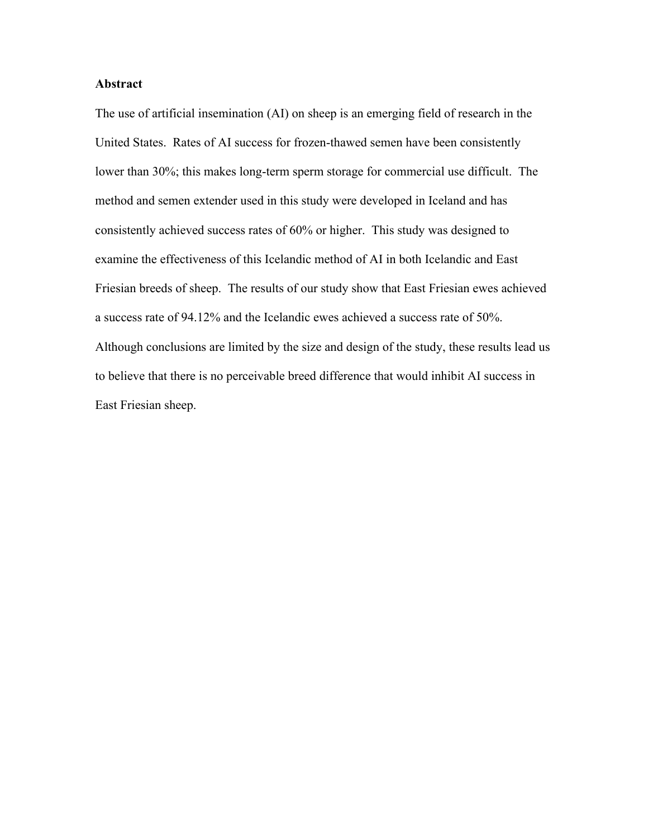## **Abstract**

The use of artificial insemination (AI) on sheep is an emerging field of research in the United States. Rates of AI success for frozen-thawed semen have been consistently lower than 30%; this makes long-term sperm storage for commercial use difficult. The method and semen extender used in this study were developed in Iceland and has consistently achieved success rates of 60% or higher. This study was designed to examine the effectiveness of this Icelandic method of AI in both Icelandic and East Friesian breeds of sheep. The results of our study show that East Friesian ewes achieved a success rate of 94.12% and the Icelandic ewes achieved a success rate of 50%. Although conclusions are limited by the size and design of the study, these results lead us to believe that there is no perceivable breed difference that would inhibit AI success in East Friesian sheep.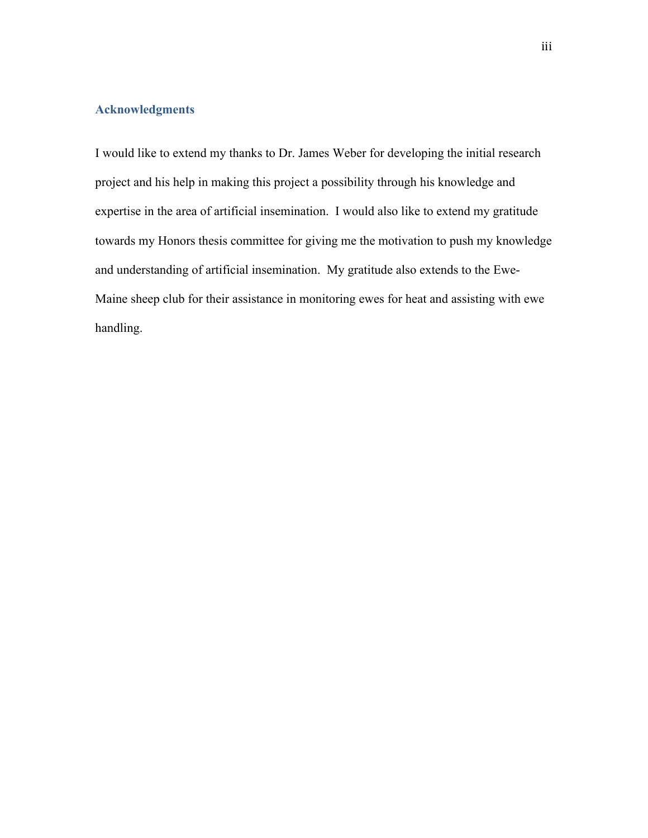## **Acknowledgments**

I would like to extend my thanks to Dr. James Weber for developing the initial research project and his help in making this project a possibility through his knowledge and expertise in the area of artificial insemination. I would also like to extend my gratitude towards my Honors thesis committee for giving me the motivation to push my knowledge and understanding of artificial insemination. My gratitude also extends to the Ewe-Maine sheep club for their assistance in monitoring ewes for heat and assisting with ewe handling.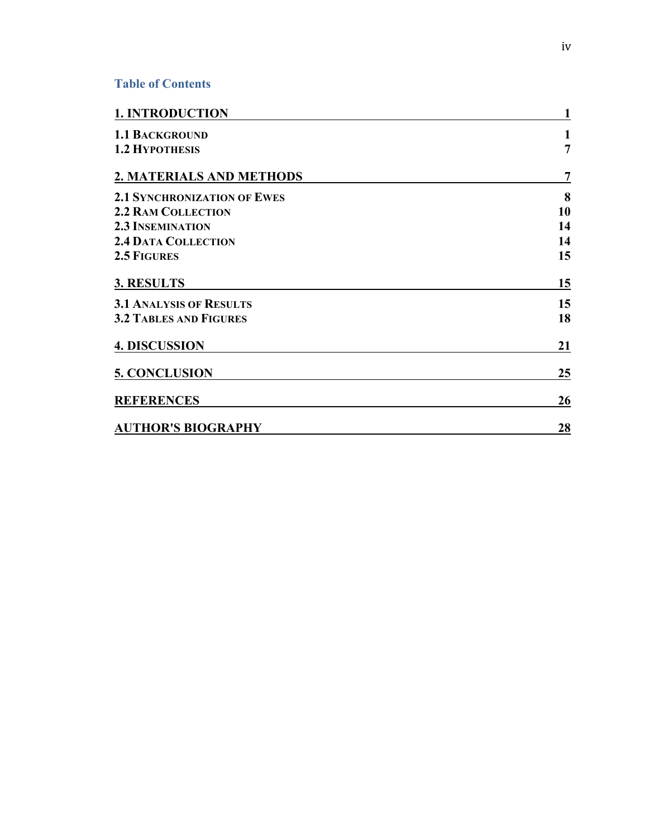# **Table of Contents**

| <b>1. INTRODUCTION</b>             | $\mathbf{1}$   |
|------------------------------------|----------------|
| <b>1.1 BACKGROUND</b>              | 1              |
| <b>1.2 HYPOTHESIS</b>              | $\overline{7}$ |
| 2. MATERIALS AND METHODS           | $\overline{7}$ |
| <b>2.1 SYNCHRONIZATION OF EWES</b> | 8              |
| <b>2.2 RAM COLLECTION</b>          | 10             |
| <b>2.3 INSEMINATION</b>            | 14             |
| <b>2.4 DATA COLLECTION</b>         | 14             |
| 2.5 FIGURES                        | 15             |
| 3. RESULTS                         | 15             |
| <b>3.1 ANALYSIS OF RESULTS</b>     | 15             |
| <b>3.2 TABLES AND FIGURES</b>      | 18             |
| <b>4. DISCUSSION</b>               | 21             |
| <b>5. CONCLUSION</b>               | 25             |
| <b>REFERENCES</b>                  | 26             |
| <b>AUTHOR'S BIOGRAPHY</b>          | 28             |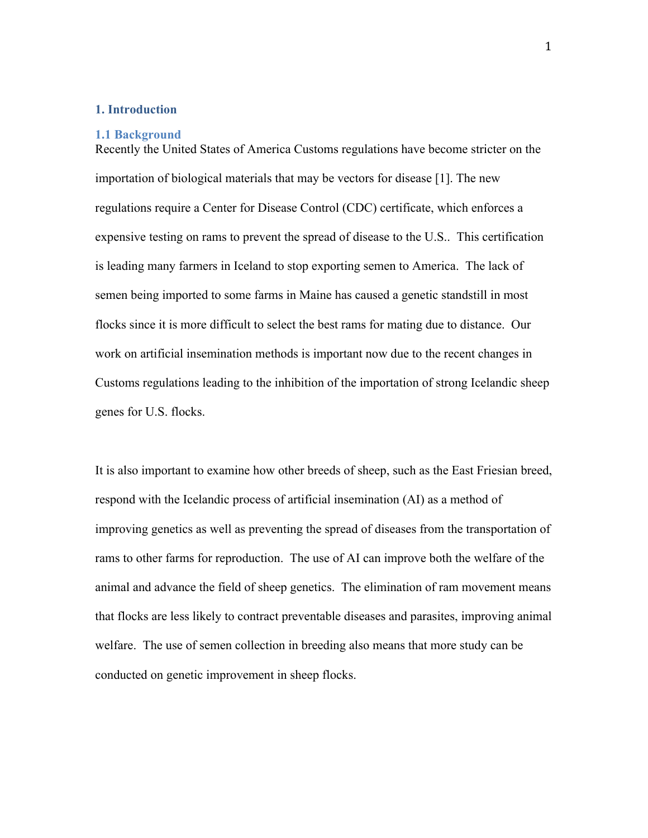#### **1. Introduction**

#### **1.1 Background**

Recently the United States of America Customs regulations have become stricter on the importation of biological materials that may be vectors for disease [1]. The new regulations require a Center for Disease Control (CDC) certificate, which enforces a expensive testing on rams to prevent the spread of disease to the U.S.. This certification is leading many farmers in Iceland to stop exporting semen to America. The lack of semen being imported to some farms in Maine has caused a genetic standstill in most flocks since it is more difficult to select the best rams for mating due to distance. Our work on artificial insemination methods is important now due to the recent changes in Customs regulations leading to the inhibition of the importation of strong Icelandic sheep genes for U.S. flocks.

It is also important to examine how other breeds of sheep, such as the East Friesian breed, respond with the Icelandic process of artificial insemination (AI) as a method of improving genetics as well as preventing the spread of diseases from the transportation of rams to other farms for reproduction. The use of AI can improve both the welfare of the animal and advance the field of sheep genetics. The elimination of ram movement means that flocks are less likely to contract preventable diseases and parasites, improving animal welfare. The use of semen collection in breeding also means that more study can be conducted on genetic improvement in sheep flocks.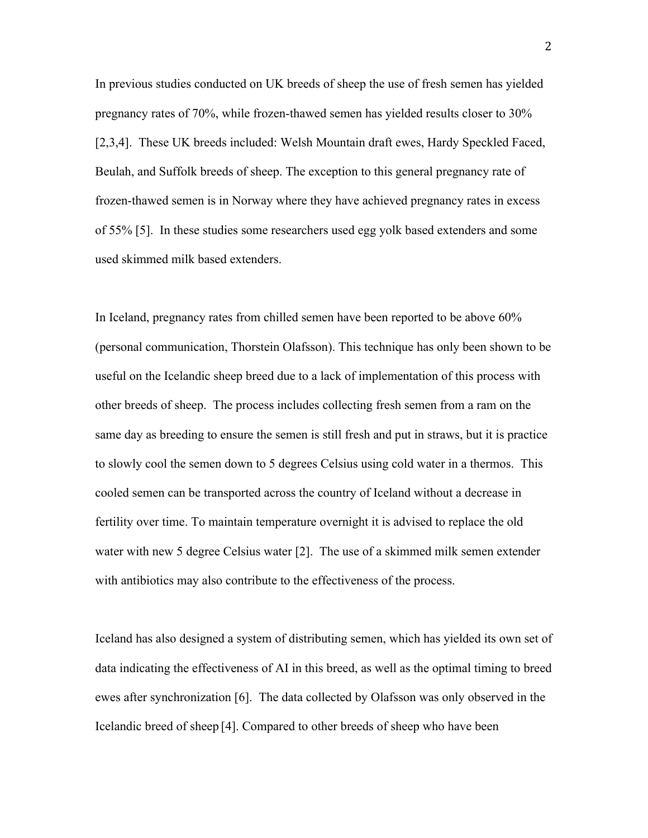In previous studies conducted on UK breeds of sheep the use of fresh semen has yielded pregnancy rates of 70%, while frozen-thawed semen has yielded results closer to 30% [2,3,4]. These UK breeds included: Welsh Mountain draft ewes, Hardy Speckled Faced, Beulah, and Suffolk breeds of sheep. The exception to this general pregnancy rate of frozen-thawed semen is in Norway where they have achieved pregnancy rates in excess of 55% [5]. In these studies some researchers used egg yolk based extenders and some used skimmed milk based extenders.

In Iceland, pregnancy rates from chilled semen have been reported to be above 60% (personal communication, Thorstein Olafsson). This technique has only been shown to be useful on the Icelandic sheep breed due to a lack of implementation of this process with other breeds of sheep. The process includes collecting fresh semen from a ram on the same day as breeding to ensure the semen is still fresh and put in straws, but it is practice to slowly cool the semen down to 5 degrees Celsius using cold water in a thermos. This cooled semen can be transported across the country of Iceland without a decrease in fertility over time. To maintain temperature overnight it is advised to replace the old water with new 5 degree Celsius water [2]. The use of a skimmed milk semen extender with antibiotics may also contribute to the effectiveness of the process.

Iceland has also designed a system of distributing semen, which has yielded its own set of data indicating the effectiveness of AI in this breed, as well as the optimal timing to breed ewes after synchronization [6]. The data collected by Olafsson was only observed in the Icelandic breed of sheep [4]. Compared to other breeds of sheep who have been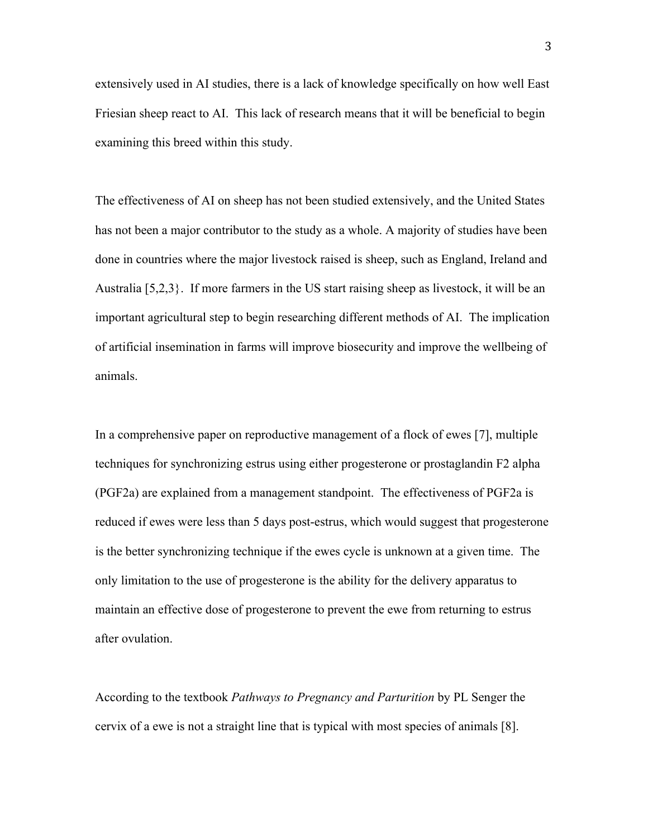extensively used in AI studies, there is a lack of knowledge specifically on how well East Friesian sheep react to AI. This lack of research means that it will be beneficial to begin examining this breed within this study.

The effectiveness of AI on sheep has not been studied extensively, and the United States has not been a major contributor to the study as a whole. A majority of studies have been done in countries where the major livestock raised is sheep, such as England, Ireland and Australia [5,2,3}. If more farmers in the US start raising sheep as livestock, it will be an important agricultural step to begin researching different methods of AI. The implication of artificial insemination in farms will improve biosecurity and improve the wellbeing of animals.

In a comprehensive paper on reproductive management of a flock of ewes [7], multiple techniques for synchronizing estrus using either progesterone or prostaglandin F2 alpha (PGF2a) are explained from a management standpoint. The effectiveness of PGF2a is reduced if ewes were less than 5 days post-estrus, which would suggest that progesterone is the better synchronizing technique if the ewes cycle is unknown at a given time. The only limitation to the use of progesterone is the ability for the delivery apparatus to maintain an effective dose of progesterone to prevent the ewe from returning to estrus after ovulation.

According to the textbook *Pathways to Pregnancy and Parturition* by PL Senger the cervix of a ewe is not a straight line that is typical with most species of animals [8].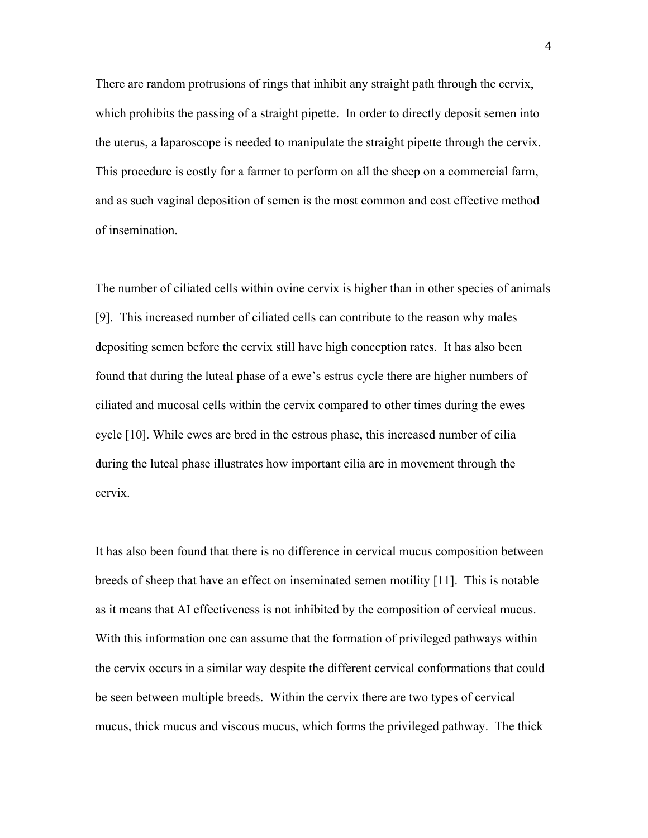There are random protrusions of rings that inhibit any straight path through the cervix, which prohibits the passing of a straight pipette. In order to directly deposit semen into the uterus, a laparoscope is needed to manipulate the straight pipette through the cervix. This procedure is costly for a farmer to perform on all the sheep on a commercial farm, and as such vaginal deposition of semen is the most common and cost effective method of insemination.

The number of ciliated cells within ovine cervix is higher than in other species of animals [9]. This increased number of ciliated cells can contribute to the reason why males depositing semen before the cervix still have high conception rates. It has also been found that during the luteal phase of a ewe's estrus cycle there are higher numbers of ciliated and mucosal cells within the cervix compared to other times during the ewes cycle [10]. While ewes are bred in the estrous phase, this increased number of cilia during the luteal phase illustrates how important cilia are in movement through the cervix.

It has also been found that there is no difference in cervical mucus composition between breeds of sheep that have an effect on inseminated semen motility [11]. This is notable as it means that AI effectiveness is not inhibited by the composition of cervical mucus. With this information one can assume that the formation of privileged pathways within the cervix occurs in a similar way despite the different cervical conformations that could be seen between multiple breeds. Within the cervix there are two types of cervical mucus, thick mucus and viscous mucus, which forms the privileged pathway. The thick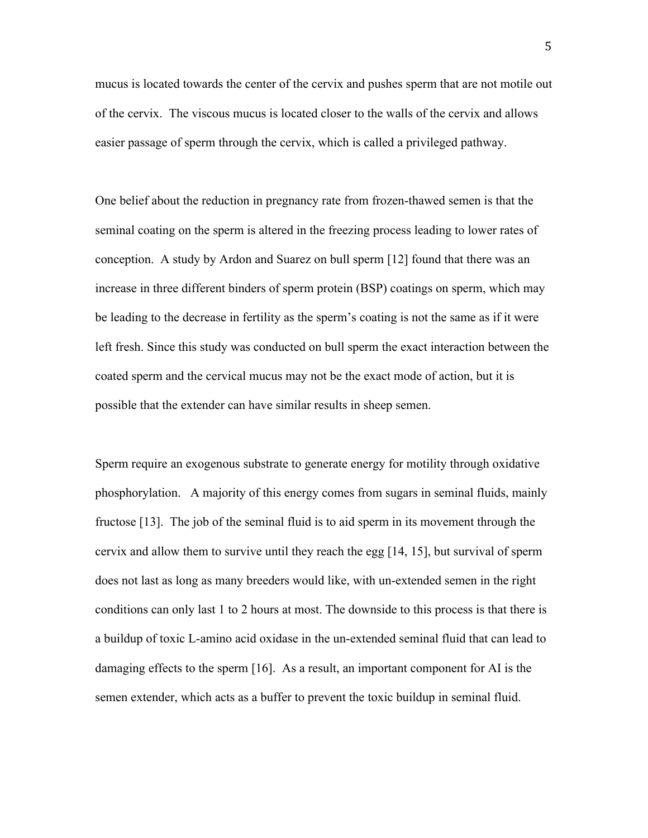mucus is located towards the center of the cervix and pushes sperm that are not motile out of the cervix. The viscous mucus is located closer to the walls of the cervix and allows easier passage of sperm through the cervix, which is called a privileged pathway.

One belief about the reduction in pregnancy rate from frozen-thawed semen is that the seminal coating on the sperm is altered in the freezing process leading to lower rates of conception. A study by Ardon and Suarez on bull sperm [12] found that there was an increase in three different binders of sperm protein (BSP) coatings on sperm, which may be leading to the decrease in fertility as the sperm's coating is not the same as if it were left fresh. Since this study was conducted on bull sperm the exact interaction between the coated sperm and the cervical mucus may not be the exact mode of action, but it is possible that the extender can have similar results in sheep semen.

Sperm require an exogenous substrate to generate energy for motility through oxidative phosphorylation. A majority of this energy comes from sugars in seminal fluids, mainly fructose [13]. The job of the seminal fluid is to aid sperm in its movement through the cervix and allow them to survive until they reach the egg [14, 15], but survival of sperm does not last as long as many breeders would like, with un-extended semen in the right conditions can only last 1 to 2 hours at most. The downside to this process is that there is a buildup of toxic L-amino acid oxidase in the un-extended seminal fluid that can lead to damaging effects to the sperm [16]. As a result, an important component for AI is the semen extender, which acts as a buffer to prevent the toxic buildup in seminal fluid.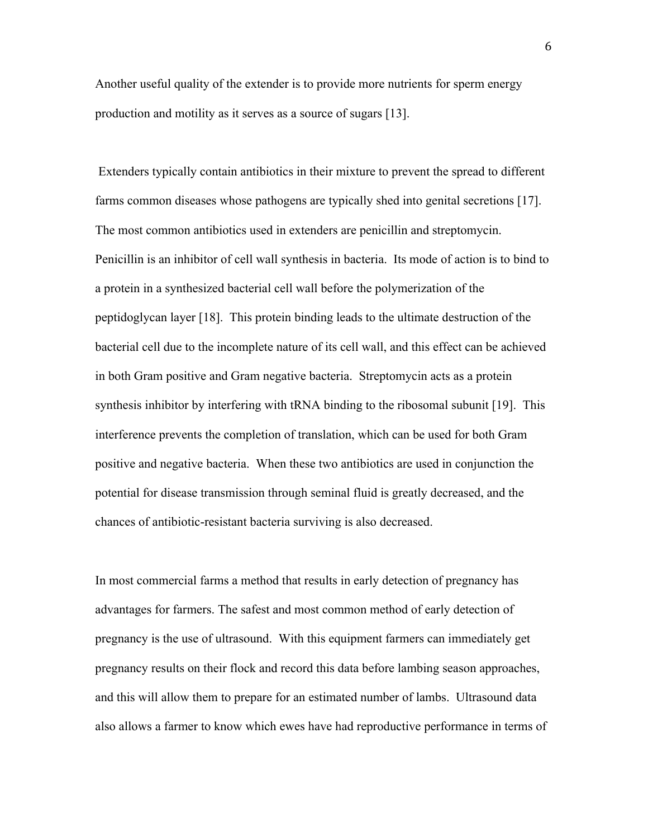Another useful quality of the extender is to provide more nutrients for sperm energy production and motility as it serves as a source of sugars [13].

Extenders typically contain antibiotics in their mixture to prevent the spread to different farms common diseases whose pathogens are typically shed into genital secretions [17]. The most common antibiotics used in extenders are penicillin and streptomycin. Penicillin is an inhibitor of cell wall synthesis in bacteria. Its mode of action is to bind to a protein in a synthesized bacterial cell wall before the polymerization of the peptidoglycan layer [18]. This protein binding leads to the ultimate destruction of the bacterial cell due to the incomplete nature of its cell wall, and this effect can be achieved in both Gram positive and Gram negative bacteria. Streptomycin acts as a protein synthesis inhibitor by interfering with tRNA binding to the ribosomal subunit [19]. This interference prevents the completion of translation, which can be used for both Gram positive and negative bacteria. When these two antibiotics are used in conjunction the potential for disease transmission through seminal fluid is greatly decreased, and the chances of antibiotic-resistant bacteria surviving is also decreased.

In most commercial farms a method that results in early detection of pregnancy has advantages for farmers. The safest and most common method of early detection of pregnancy is the use of ultrasound. With this equipment farmers can immediately get pregnancy results on their flock and record this data before lambing season approaches, and this will allow them to prepare for an estimated number of lambs. Ultrasound data also allows a farmer to know which ewes have had reproductive performance in terms of

6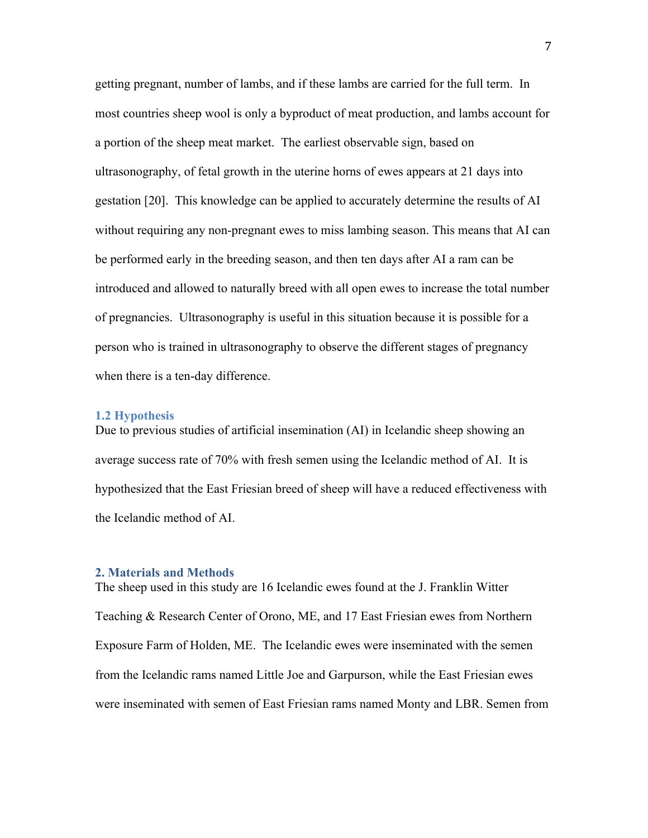getting pregnant, number of lambs, and if these lambs are carried for the full term. In most countries sheep wool is only a byproduct of meat production, and lambs account for a portion of the sheep meat market. The earliest observable sign, based on ultrasonography, of fetal growth in the uterine horns of ewes appears at 21 days into gestation [20]. This knowledge can be applied to accurately determine the results of AI without requiring any non-pregnant ewes to miss lambing season. This means that AI can be performed early in the breeding season, and then ten days after AI a ram can be introduced and allowed to naturally breed with all open ewes to increase the total number of pregnancies. Ultrasonography is useful in this situation because it is possible for a person who is trained in ultrasonography to observe the different stages of pregnancy when there is a ten-day difference.

#### **1.2 Hypothesis**

Due to previous studies of artificial insemination (AI) in Icelandic sheep showing an average success rate of 70% with fresh semen using the Icelandic method of AI. It is hypothesized that the East Friesian breed of sheep will have a reduced effectiveness with the Icelandic method of AI.

#### **2. Materials and Methods**

The sheep used in this study are 16 Icelandic ewes found at the J. Franklin Witter Teaching & Research Center of Orono, ME, and 17 East Friesian ewes from Northern Exposure Farm of Holden, ME. The Icelandic ewes were inseminated with the semen from the Icelandic rams named Little Joe and Garpurson, while the East Friesian ewes were inseminated with semen of East Friesian rams named Monty and LBR. Semen from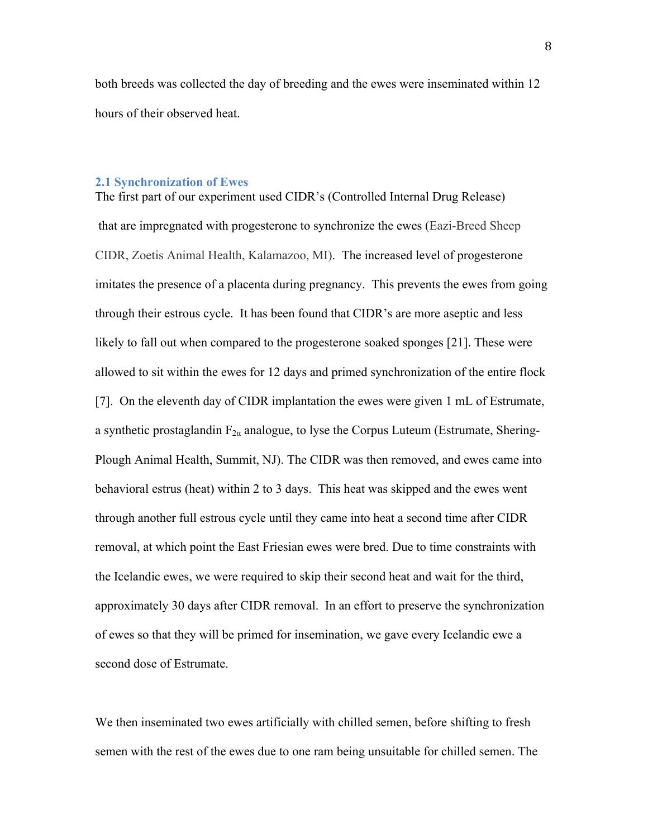both breeds was collected the day of breeding and the ewes were inseminated within 12 hours of their observed heat.

#### **2.1 Synchronization of Ewes**

The first part of our experiment used CIDR's (Controlled Internal Drug Release) that are impregnated with progesterone to synchronize the ewes (Eazi-Breed Sheep CIDR, Zoetis Animal Health, Kalamazoo, MI). The increased level of progesterone imitates the presence of a placenta during pregnancy. This prevents the ewes from going through their estrous cycle. It has been found that CIDR's are more aseptic and less likely to fall out when compared to the progesterone soaked sponges [21]. These were allowed to sit within the ewes for 12 days and primed synchronization of the entire flock [7]. On the eleventh day of CIDR implantation the ewes were given 1 mL of Estrumate, a synthetic prostaglandin  $F_{2\alpha}$  analogue, to lyse the Corpus Luteum (Estrumate, Shering-Plough Animal Health, Summit, NJ). The CIDR was then removed, and ewes came into behavioral estrus (heat) within 2 to 3 days. This heat was skipped and the ewes went through another full estrous cycle until they came into heat a second time after CIDR removal, at which point the East Friesian ewes were bred. Due to time constraints with the Icelandic ewes, we were required to skip their second heat and wait for the third, approximately 30 days after CIDR removal. In an effort to preserve the synchronization of ewes so that they will be primed for insemination, we gave every Icelandic ewe a second dose of Estrumate.

We then inseminated two ewes artificially with chilled semen, before shifting to fresh semen with the rest of the ewes due to one ram being unsuitable for chilled semen. The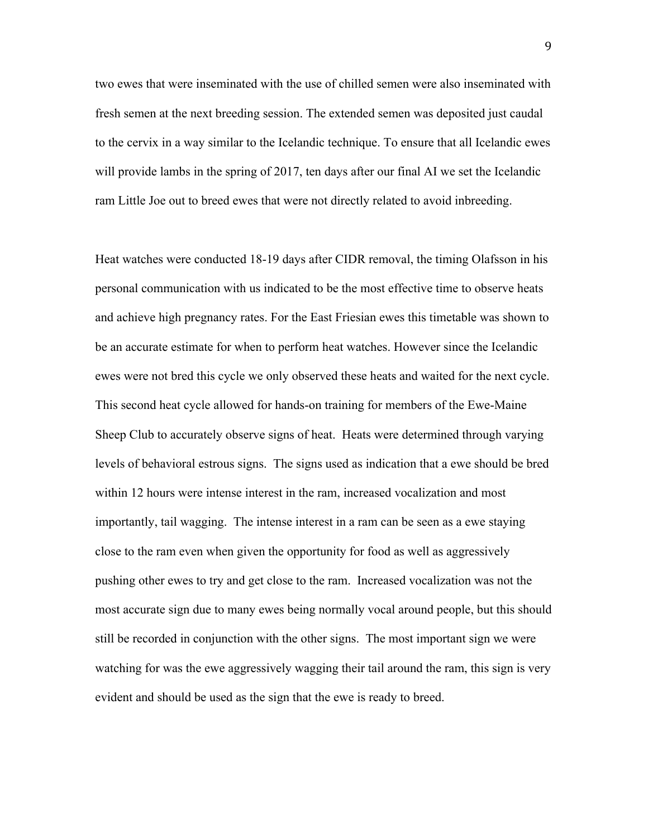two ewes that were inseminated with the use of chilled semen were also inseminated with fresh semen at the next breeding session. The extended semen was deposited just caudal to the cervix in a way similar to the Icelandic technique. To ensure that all Icelandic ewes will provide lambs in the spring of 2017, ten days after our final AI we set the Icelandic ram Little Joe out to breed ewes that were not directly related to avoid inbreeding.

Heat watches were conducted 18-19 days after CIDR removal, the timing Olafsson in his personal communication with us indicated to be the most effective time to observe heats and achieve high pregnancy rates. For the East Friesian ewes this timetable was shown to be an accurate estimate for when to perform heat watches. However since the Icelandic ewes were not bred this cycle we only observed these heats and waited for the next cycle. This second heat cycle allowed for hands-on training for members of the Ewe-Maine Sheep Club to accurately observe signs of heat. Heats were determined through varying levels of behavioral estrous signs. The signs used as indication that a ewe should be bred within 12 hours were intense interest in the ram, increased vocalization and most importantly, tail wagging. The intense interest in a ram can be seen as a ewe staying close to the ram even when given the opportunity for food as well as aggressively pushing other ewes to try and get close to the ram. Increased vocalization was not the most accurate sign due to many ewes being normally vocal around people, but this should still be recorded in conjunction with the other signs. The most important sign we were watching for was the ewe aggressively wagging their tail around the ram, this sign is very evident and should be used as the sign that the ewe is ready to breed.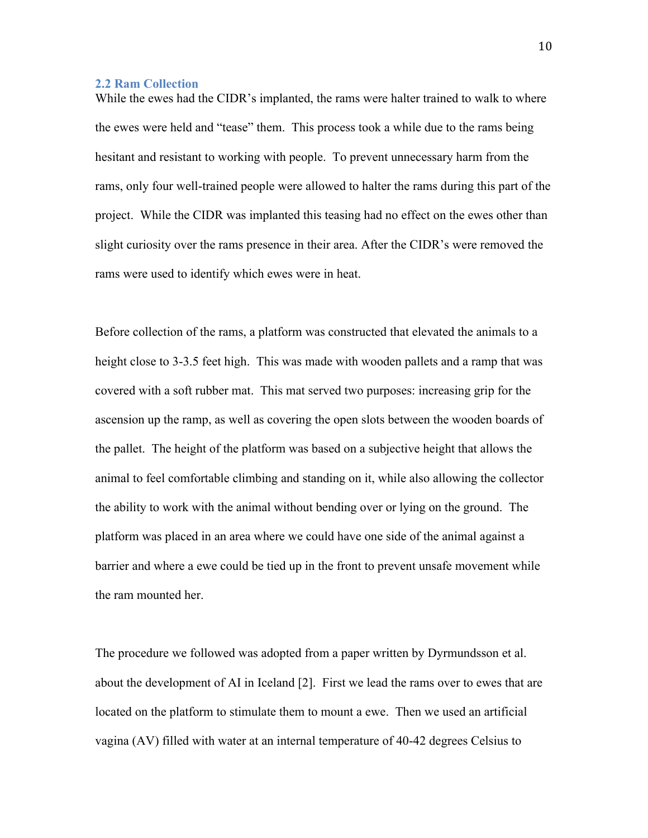#### **2.2 Ram Collection**

While the ewes had the CIDR's implanted, the rams were halter trained to walk to where the ewes were held and "tease" them. This process took a while due to the rams being hesitant and resistant to working with people. To prevent unnecessary harm from the rams, only four well-trained people were allowed to halter the rams during this part of the project. While the CIDR was implanted this teasing had no effect on the ewes other than slight curiosity over the rams presence in their area. After the CIDR's were removed the rams were used to identify which ewes were in heat.

Before collection of the rams, a platform was constructed that elevated the animals to a height close to 3-3.5 feet high. This was made with wooden pallets and a ramp that was covered with a soft rubber mat. This mat served two purposes: increasing grip for the ascension up the ramp, as well as covering the open slots between the wooden boards of the pallet. The height of the platform was based on a subjective height that allows the animal to feel comfortable climbing and standing on it, while also allowing the collector the ability to work with the animal without bending over or lying on the ground. The platform was placed in an area where we could have one side of the animal against a barrier and where a ewe could be tied up in the front to prevent unsafe movement while the ram mounted her.

The procedure we followed was adopted from a paper written by Dyrmundsson et al. about the development of AI in Iceland [2]. First we lead the rams over to ewes that are located on the platform to stimulate them to mount a ewe. Then we used an artificial vagina (AV) filled with water at an internal temperature of 40-42 degrees Celsius to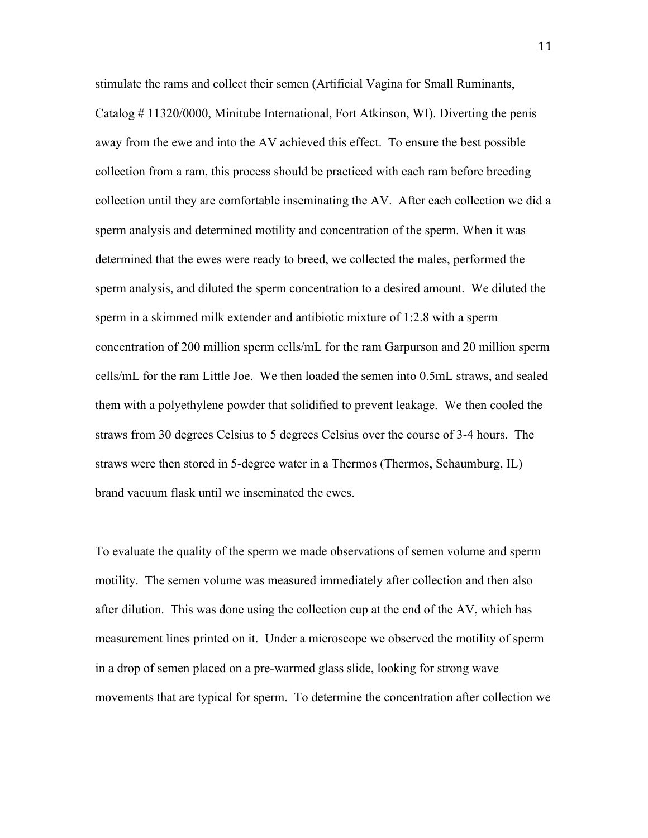stimulate the rams and collect their semen (Artificial Vagina for Small Ruminants, Catalog # 11320/0000, Minitube International, Fort Atkinson, WI). Diverting the penis away from the ewe and into the AV achieved this effect. To ensure the best possible collection from a ram, this process should be practiced with each ram before breeding collection until they are comfortable inseminating the AV. After each collection we did a sperm analysis and determined motility and concentration of the sperm. When it was determined that the ewes were ready to breed, we collected the males, performed the sperm analysis, and diluted the sperm concentration to a desired amount. We diluted the sperm in a skimmed milk extender and antibiotic mixture of 1:2.8 with a sperm concentration of 200 million sperm cells/mL for the ram Garpurson and 20 million sperm cells/mL for the ram Little Joe. We then loaded the semen into 0.5mL straws, and sealed them with a polyethylene powder that solidified to prevent leakage. We then cooled the straws from 30 degrees Celsius to 5 degrees Celsius over the course of 3-4 hours. The straws were then stored in 5-degree water in a Thermos (Thermos, Schaumburg, IL) brand vacuum flask until we inseminated the ewes.

To evaluate the quality of the sperm we made observations of semen volume and sperm motility. The semen volume was measured immediately after collection and then also after dilution. This was done using the collection cup at the end of the AV, which has measurement lines printed on it. Under a microscope we observed the motility of sperm in a drop of semen placed on a pre-warmed glass slide, looking for strong wave movements that are typical for sperm. To determine the concentration after collection we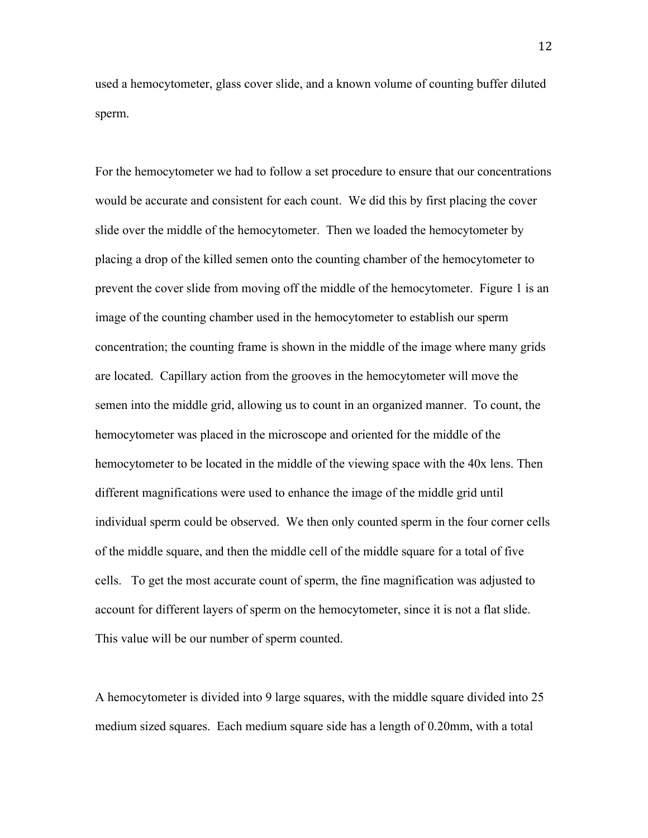used a hemocytometer, glass cover slide, and a known volume of counting buffer diluted sperm.

For the hemocytometer we had to follow a set procedure to ensure that our concentrations would be accurate and consistent for each count. We did this by first placing the cover slide over the middle of the hemocytometer. Then we loaded the hemocytometer by placing a drop of the killed semen onto the counting chamber of the hemocytometer to prevent the cover slide from moving off the middle of the hemocytometer. Figure 1 is an image of the counting chamber used in the hemocytometer to establish our sperm concentration; the counting frame is shown in the middle of the image where many grids are located. Capillary action from the grooves in the hemocytometer will move the semen into the middle grid, allowing us to count in an organized manner. To count, the hemocytometer was placed in the microscope and oriented for the middle of the hemocytometer to be located in the middle of the viewing space with the 40x lens. Then different magnifications were used to enhance the image of the middle grid until individual sperm could be observed. We then only counted sperm in the four corner cells of the middle square, and then the middle cell of the middle square for a total of five cells. To get the most accurate count of sperm, the fine magnification was adjusted to account for different layers of sperm on the hemocytometer, since it is not a flat slide. This value will be our number of sperm counted.

A hemocytometer is divided into 9 large squares, with the middle square divided into 25 medium sized squares. Each medium square side has a length of 0.20mm, with a total

12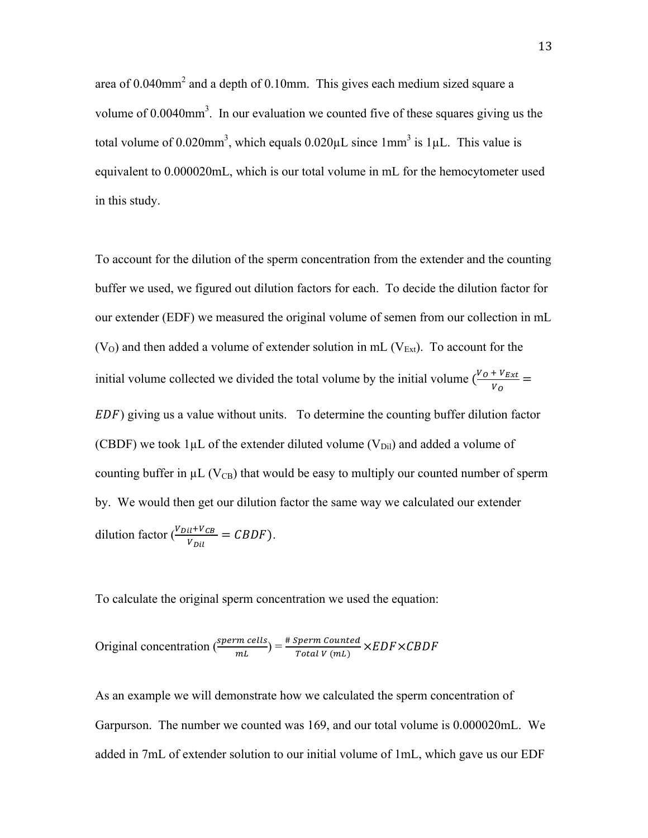area of 0.040mm<sup>2</sup> and a depth of 0.10mm. This gives each medium sized square a volume of 0.0040mm<sup>3</sup>. In our evaluation we counted five of these squares giving us the total volume of 0.020mm<sup>3</sup>, which equals  $0.020\mu L$  since 1mm<sup>3</sup> is 1 $\mu L$ . This value is equivalent to 0.000020mL, which is our total volume in mL for the hemocytometer used in this study.

To account for the dilution of the sperm concentration from the extender and the counting buffer we used, we figured out dilution factors for each. To decide the dilution factor for our extender (EDF) we measured the original volume of semen from our collection in mL  $(V<sub>O</sub>)$  and then added a volume of extender solution in mL  $(V<sub>Ext</sub>)$ . To account for the initial volume collected we divided the total volume by the initial volume  $\frac{V_0 + V_{Ext}}{V}$  $\frac{+v_{Ext}}{v_o} =$ ) giving us a value without units. To determine the counting buffer dilution factor (CBDF) we took  $1\mu$ L of the extender diluted volume (V<sub>Dil</sub>) and added a volume of counting buffer in  $\mu$ L (V<sub>CB</sub>) that would be easy to multiply our counted number of sperm by. We would then get our dilution factor the same way we calculated our extender dilution factor  $\frac{(V_{Dil}+V_{CB})}{V}$  $\frac{U+VCB}{V_{Dil}} = CBDF$ ).

To calculate the original sperm concentration we used the equation:

Original concentration  $\left(\frac{sperm \, cells}{mL}\right) = \frac{\text{\#} Sperm \, counted}{Total \, V \, (mL)}$  $\frac{F_{\text{per}} m \text{ counter}}{F_{\text{total}} V \text{ (mL)}} \times EDF \times CBDF$ 

As an example we will demonstrate how we calculated the sperm concentration of Garpurson. The number we counted was 169, and our total volume is 0.000020mL. We added in 7mL of extender solution to our initial volume of 1mL, which gave us our EDF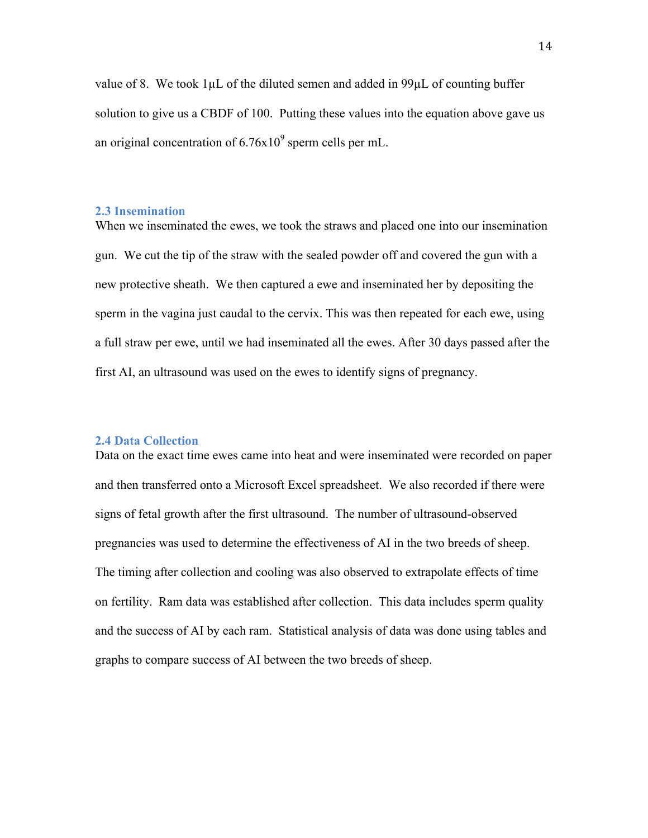value of 8. We took  $1\mu L$  of the diluted semen and added in 99 $\mu L$  of counting buffer solution to give us a CBDF of 100. Putting these values into the equation above gave us an original concentration of  $6.76x10<sup>9</sup>$  sperm cells per mL.

#### **2.3 Insemination**

When we inseminated the ewes, we took the straws and placed one into our insemination gun. We cut the tip of the straw with the sealed powder off and covered the gun with a new protective sheath. We then captured a ewe and inseminated her by depositing the sperm in the vagina just caudal to the cervix. This was then repeated for each ewe, using a full straw per ewe, until we had inseminated all the ewes. After 30 days passed after the first AI, an ultrasound was used on the ewes to identify signs of pregnancy.

#### **2.4 Data Collection**

Data on the exact time ewes came into heat and were inseminated were recorded on paper and then transferred onto a Microsoft Excel spreadsheet. We also recorded if there were signs of fetal growth after the first ultrasound. The number of ultrasound-observed pregnancies was used to determine the effectiveness of AI in the two breeds of sheep. The timing after collection and cooling was also observed to extrapolate effects of time on fertility. Ram data was established after collection. This data includes sperm quality and the success of AI by each ram. Statistical analysis of data was done using tables and graphs to compare success of AI between the two breeds of sheep.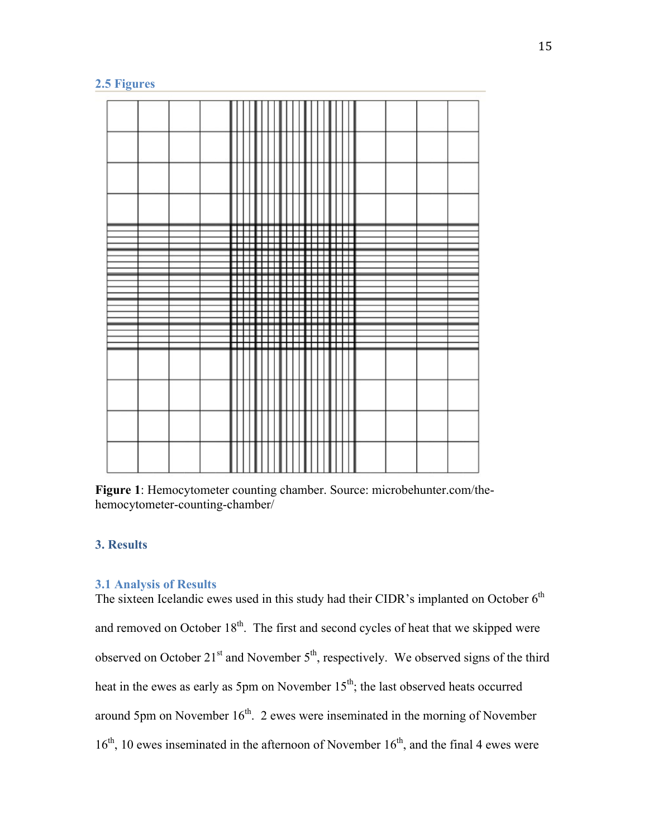# **2.5 Figures**

|  | г<br>п      | -11                         | ш      | .  | п<br>Ξ      |           | п      |   |        | п      | □<br>п      | - 1                            | E<br>г |  |  |
|--|-------------|-----------------------------|--------|----|-------------|-----------|--------|---|--------|--------|-------------|--------------------------------|--------|--|--|
|  |             | ┯                           | П      |    | П<br>П      |           | П      |   |        | п<br>٦ |             | т<br>⊤<br>┯                    | П<br>г |  |  |
|  | г<br>П<br>П |                             | U<br>П |    | п<br>П<br>п | П<br>- 13 | П<br>Ħ | п | L<br>г | п      | п<br>ᇚ<br>п | т<br><b>III</b><br>п<br>┯<br>┯ |        |  |  |
|  | п<br>П<br>п | ш<br>,,,,,,,,,,,,,,,,,,,,,, | ┏      | ╥╥ |             | □□        |        |   | ──     |        | п<br>⊞      | 工<br>┯<br>┯                    | г      |  |  |
|  |             |                             |        |    |             |           |        |   |        |        |             |                                |        |  |  |
|  |             |                             |        |    |             |           |        |   |        |        |             |                                |        |  |  |
|  |             |                             |        |    |             |           |        |   |        |        |             |                                |        |  |  |
|  |             |                             |        |    |             |           |        |   |        |        |             |                                |        |  |  |

**Figure 1**: Hemocytometer counting chamber. Source: microbehunter.com/thehemocytometer-counting-chamber/

# **3. Results**

# **3.1 Analysis of Results**

The sixteen Icelandic ewes used in this study had their CIDR's implanted on October  $6<sup>th</sup>$ and removed on October  $18<sup>th</sup>$ . The first and second cycles of heat that we skipped were observed on October  $21<sup>st</sup>$  and November  $5<sup>th</sup>$ , respectively. We observed signs of the third heat in the ewes as early as 5pm on November  $15<sup>th</sup>$ ; the last observed heats occurred around 5pm on November  $16<sup>th</sup>$ . 2 ewes were inseminated in the morning of November  $16<sup>th</sup>$ , 10 ewes inseminated in the afternoon of November  $16<sup>th</sup>$ , and the final 4 ewes were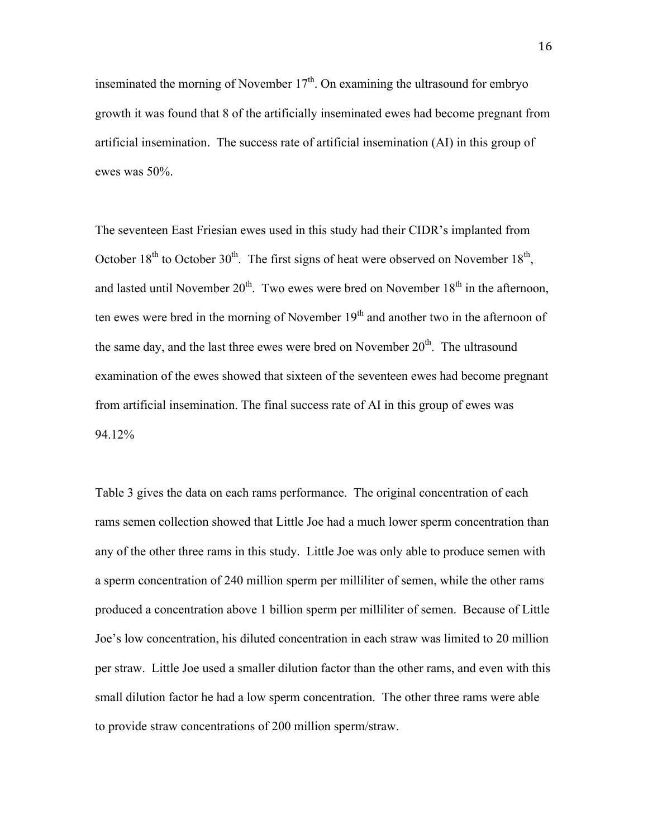inseminated the morning of November  $17<sup>th</sup>$ . On examining the ultrasound for embryo growth it was found that 8 of the artificially inseminated ewes had become pregnant from artificial insemination. The success rate of artificial insemination (AI) in this group of ewes was 50%.

The seventeen East Friesian ewes used in this study had their CIDR's implanted from October  $18<sup>th</sup>$  to October  $30<sup>th</sup>$ . The first signs of heat were observed on November  $18<sup>th</sup>$ . and lasted until November  $20<sup>th</sup>$ . Two ewes were bred on November  $18<sup>th</sup>$  in the afternoon, ten ewes were bred in the morning of November  $19<sup>th</sup>$  and another two in the afternoon of the same day, and the last three ewes were bred on November  $20<sup>th</sup>$ . The ultrasound examination of the ewes showed that sixteen of the seventeen ewes had become pregnant from artificial insemination. The final success rate of AI in this group of ewes was 94.12%

Table 3 gives the data on each rams performance. The original concentration of each rams semen collection showed that Little Joe had a much lower sperm concentration than any of the other three rams in this study. Little Joe was only able to produce semen with a sperm concentration of 240 million sperm per milliliter of semen, while the other rams produced a concentration above 1 billion sperm per milliliter of semen. Because of Little Joe's low concentration, his diluted concentration in each straw was limited to 20 million per straw. Little Joe used a smaller dilution factor than the other rams, and even with this small dilution factor he had a low sperm concentration. The other three rams were able to provide straw concentrations of 200 million sperm/straw.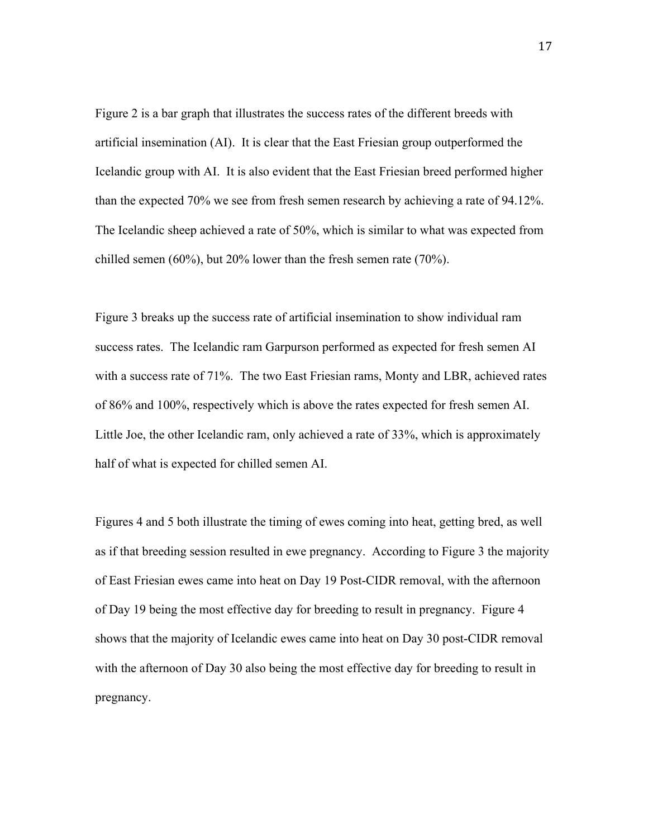Figure 2 is a bar graph that illustrates the success rates of the different breeds with artificial insemination (AI). It is clear that the East Friesian group outperformed the Icelandic group with AI. It is also evident that the East Friesian breed performed higher than the expected 70% we see from fresh semen research by achieving a rate of 94.12%. The Icelandic sheep achieved a rate of 50%, which is similar to what was expected from chilled semen (60%), but 20% lower than the fresh semen rate (70%).

Figure 3 breaks up the success rate of artificial insemination to show individual ram success rates. The Icelandic ram Garpurson performed as expected for fresh semen AI with a success rate of 71%. The two East Friesian rams, Monty and LBR, achieved rates of 86% and 100%, respectively which is above the rates expected for fresh semen AI. Little Joe, the other Icelandic ram, only achieved a rate of 33%, which is approximately half of what is expected for chilled semen AI.

Figures 4 and 5 both illustrate the timing of ewes coming into heat, getting bred, as well as if that breeding session resulted in ewe pregnancy. According to Figure 3 the majority of East Friesian ewes came into heat on Day 19 Post-CIDR removal, with the afternoon of Day 19 being the most effective day for breeding to result in pregnancy. Figure 4 shows that the majority of Icelandic ewes came into heat on Day 30 post-CIDR removal with the afternoon of Day 30 also being the most effective day for breeding to result in pregnancy.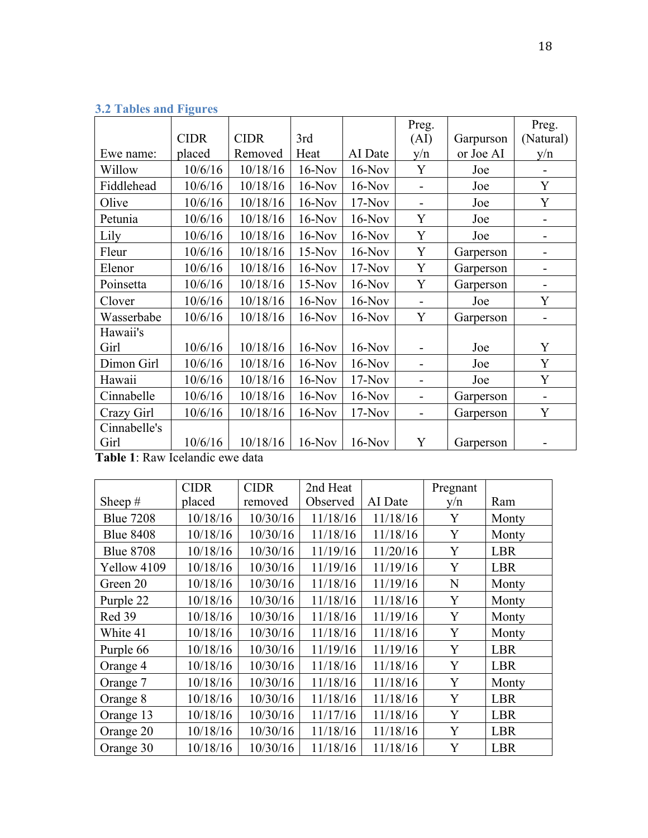|                  |                         |             |          |          | Preg.                    |           | Preg.     |
|------------------|-------------------------|-------------|----------|----------|--------------------------|-----------|-----------|
|                  | <b>CIDR</b>             | <b>CIDR</b> | 3rd      |          | (AI)                     | Garpurson | (Natural) |
| Ewe name:        | placed                  | Removed     | Heat     | AI Date  | y/n                      | or Joe AI | y/n       |
| Willow           | 10/6/16                 | 10/18/16    | $16-Nov$ | $16-Nov$ | Y                        | Joe       |           |
| Fiddlehead       | 10/6/16                 | 10/18/16    | $16-Nov$ | $16-Nov$ |                          | Joe       | Y         |
| Olive            | 10/6/16                 | 10/18/16    | $16-Nov$ | $17-Nov$ | $\blacksquare$           | Joe       | Y         |
| Petunia          | 10/6/16                 | 10/18/16    | $16-Nov$ | $16-Nov$ | Y                        | Joe       |           |
| Lily             | 10/6/16                 | 10/18/16    | $16-Nov$ | $16-Nov$ | Y                        | Joe       |           |
| Fleur            | 10/6/16                 | 10/18/16    | $15-Nov$ | $16-Nov$ | Y                        | Garperson |           |
| Elenor           | 10/6/16                 | 10/18/16    | $16-Nov$ | $17-Nov$ | Y                        | Garperson |           |
| Poinsetta        | 10/6/16                 | 10/18/16    | $15-Nov$ | $16-Nov$ | Y                        | Garperson | -         |
| Clover           | 10/6/16                 | 10/18/16    | $16-Nov$ | $16-Nov$ |                          | Joe       | Y         |
| Wasserbabe       | 10/6/16                 | 10/18/16    | $16-Nov$ | $16-Nov$ | Y                        | Garperson |           |
| Hawaii's         |                         |             |          |          |                          |           |           |
| Girl             | 10/6/16                 | 10/18/16    | $16-Nov$ | $16-Nov$ |                          | Joe       | Y         |
| Dimon Girl       | 10/6/16                 | 10/18/16    | $16-Nov$ | $16-Nov$ |                          | Joe       | Y         |
| Hawaii           | 10/6/16                 | 10/18/16    | $16-Nov$ | $17-Nov$ | $\blacksquare$           | Joe       | Y         |
| Cinnabelle       | 10/6/16                 | 10/18/16    | $16-Nov$ | $16-Nov$ | $\overline{\phantom{0}}$ | Garperson | -         |
| Crazy Girl       | 10/6/16                 | 10/18/16    | $16-Nov$ | $17-Nov$ |                          | Garperson | Y         |
| Cinnabelle's     |                         |             |          |          |                          |           |           |
| Girl<br>m 11 4 h | 10/6/16<br>$\mathbf{r}$ | 10/18/16    | $16-Nov$ | $16-Nov$ | Y                        | Garperson |           |

# **3.2 Tables and Figures**

**Table 1**: Raw Icelandic ewe data

|                  | <b>CIDR</b> | <b>CIDR</b> | 2nd Heat |          | Pregnant |            |
|------------------|-------------|-------------|----------|----------|----------|------------|
| Sheep $#$        | placed      | removed     | Observed | AI Date  | y/n      | Ram        |
| <b>Blue 7208</b> | 10/18/16    | 10/30/16    | 11/18/16 | 11/18/16 | Y        | Monty      |
| <b>Blue 8408</b> | 10/18/16    | 10/30/16    | 11/18/16 | 11/18/16 | Y        | Monty      |
| <b>Blue 8708</b> | 10/18/16    | 10/30/16    | 11/19/16 | 11/20/16 | Y        | LBR        |
| Yellow 4109      | 10/18/16    | 10/30/16    | 11/19/16 | 11/19/16 | Y        | <b>LBR</b> |
| Green 20         | 10/18/16    | 10/30/16    | 11/18/16 | 11/19/16 | N        | Monty      |
| Purple 22        | 10/18/16    | 10/30/16    | 11/18/16 | 11/18/16 | Y        | Monty      |
| Red 39           | 10/18/16    | 10/30/16    | 11/18/16 | 11/19/16 | Y        | Monty      |
| White 41         | 10/18/16    | 10/30/16    | 11/18/16 | 11/18/16 | Y        | Monty      |
| Purple 66        | 10/18/16    | 10/30/16    | 11/19/16 | 11/19/16 | Y        | <b>LBR</b> |
| Orange 4         | 10/18/16    | 10/30/16    | 11/18/16 | 11/18/16 | Y        | <b>LBR</b> |
| Orange 7         | 10/18/16    | 10/30/16    | 11/18/16 | 11/18/16 | Y        | Monty      |
| Orange 8         | 10/18/16    | 10/30/16    | 11/18/16 | 11/18/16 | Y        | LBR        |
| Orange 13        | 10/18/16    | 10/30/16    | 11/17/16 | 11/18/16 | Y        | LBR        |
| Orange 20        | 10/18/16    | 10/30/16    | 11/18/16 | 11/18/16 | Y        | <b>LBR</b> |
| Orange 30        | 10/18/16    | 10/30/16    | 11/18/16 | 11/18/16 | Y        | <b>LBR</b> |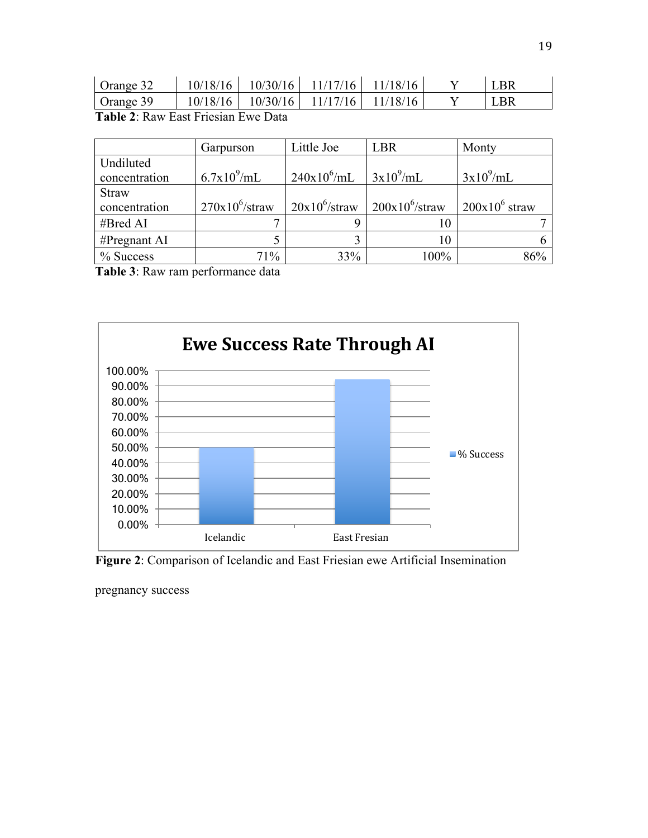| Orange 32                           |  | $10/18/16$   $10/30/16$   $11/17/16$   $11/18/16$ |  |  |  | LBR |  |  |
|-------------------------------------|--|---------------------------------------------------|--|--|--|-----|--|--|
| Orange 39                           |  | $10/18/16$   $10/30/16$   $11/17/16$   $11/18/16$ |  |  |  | LBR |  |  |
| Table 2. Dow Foot Friegian Ewa Data |  |                                                   |  |  |  |     |  |  |

**Table 2**: Raw East Friesian Ewe Data

|               | Garpurson         | Little Joe       | <b>LBR</b>        | Monty            |
|---------------|-------------------|------------------|-------------------|------------------|
| Undiluted     |                   |                  |                   |                  |
| concentration | $6.7x10^{9}/mL$   | $240x10^6$ /mL   | $3x10^9$ /mL      | $3x10^9$ /mL     |
| <b>Straw</b>  |                   |                  |                   |                  |
| concentration | $270x10^6$ /straw | $20x10^6$ /straw | $200x10^6$ /straw | $200x10^6$ straw |
| #Bred AI      |                   |                  |                   |                  |
| #Pregnant AI  |                   |                  | 10                |                  |
| % Success     | 71%               | 33%              | 100%              | 86%              |

**Table 3**: Raw ram performance data



**Figure 2**: Comparison of Icelandic and East Friesian ewe Artificial Insemination

pregnancy success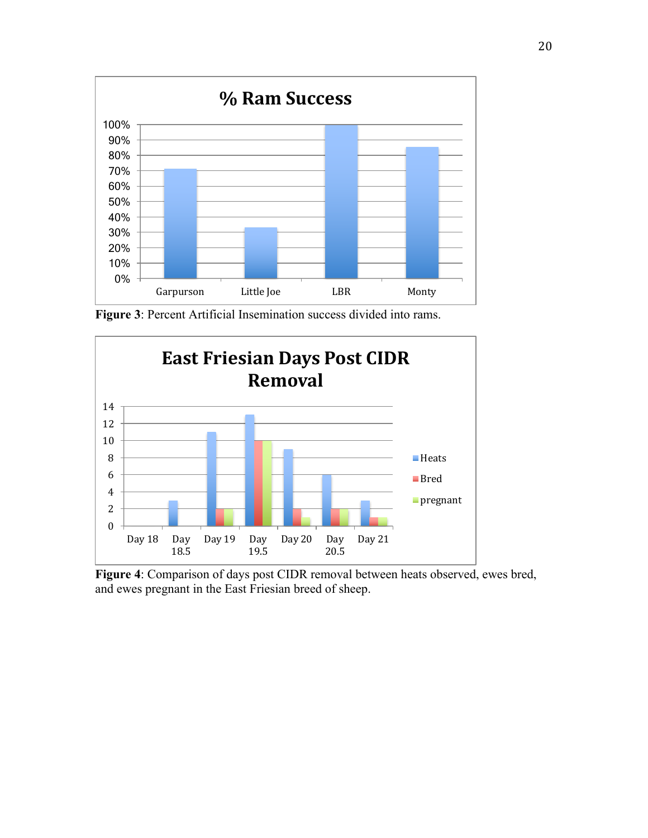

**Figure 3**: Percent Artificial Insemination success divided into rams.



**Figure 4**: Comparison of days post CIDR removal between heats observed, ewes bred, and ewes pregnant in the East Friesian breed of sheep.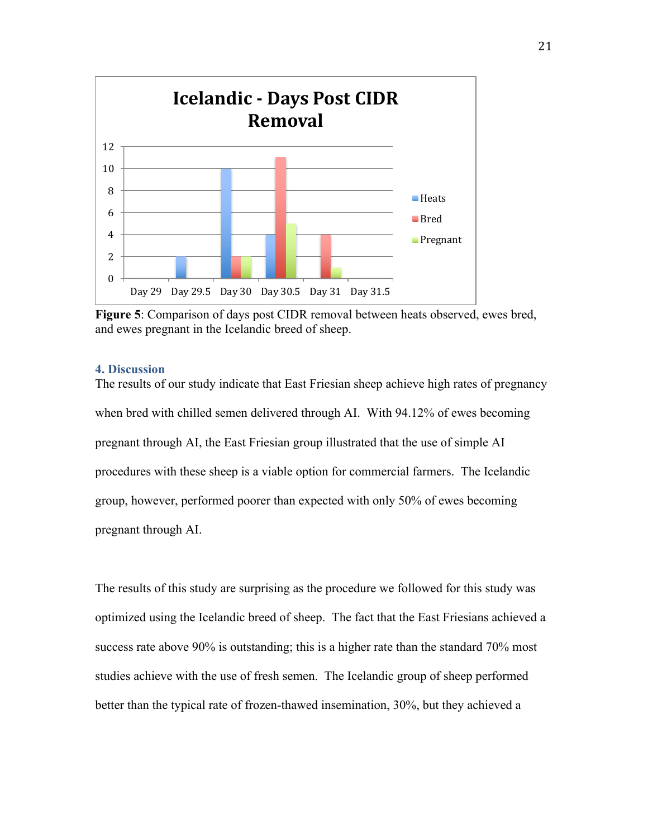

**Figure 5**: Comparison of days post CIDR removal between heats observed, ewes bred, and ewes pregnant in the Icelandic breed of sheep.

## **4. Discussion**

The results of our study indicate that East Friesian sheep achieve high rates of pregnancy when bred with chilled semen delivered through AI. With 94.12% of ewes becoming pregnant through AI, the East Friesian group illustrated that the use of simple AI procedures with these sheep is a viable option for commercial farmers. The Icelandic group, however, performed poorer than expected with only 50% of ewes becoming pregnant through AI.

The results of this study are surprising as the procedure we followed for this study was optimized using the Icelandic breed of sheep. The fact that the East Friesians achieved a success rate above 90% is outstanding; this is a higher rate than the standard 70% most studies achieve with the use of fresh semen. The Icelandic group of sheep performed better than the typical rate of frozen-thawed insemination, 30%, but they achieved a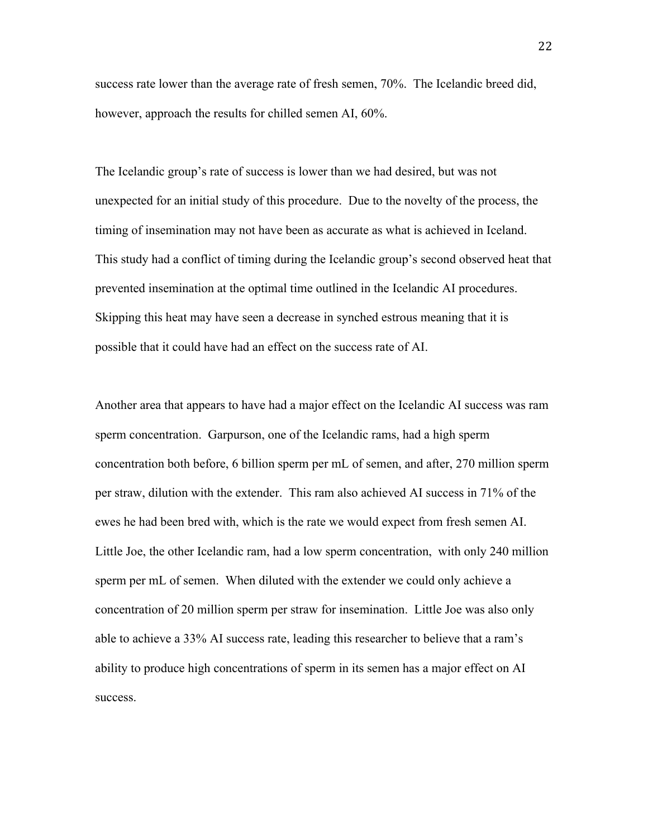success rate lower than the average rate of fresh semen, 70%. The Icelandic breed did, however, approach the results for chilled semen AI, 60%.

The Icelandic group's rate of success is lower than we had desired, but was not unexpected for an initial study of this procedure. Due to the novelty of the process, the timing of insemination may not have been as accurate as what is achieved in Iceland. This study had a conflict of timing during the Icelandic group's second observed heat that prevented insemination at the optimal time outlined in the Icelandic AI procedures. Skipping this heat may have seen a decrease in synched estrous meaning that it is possible that it could have had an effect on the success rate of AI.

Another area that appears to have had a major effect on the Icelandic AI success was ram sperm concentration. Garpurson, one of the Icelandic rams, had a high sperm concentration both before, 6 billion sperm per mL of semen, and after, 270 million sperm per straw, dilution with the extender. This ram also achieved AI success in 71% of the ewes he had been bred with, which is the rate we would expect from fresh semen AI. Little Joe, the other Icelandic ram, had a low sperm concentration, with only 240 million sperm per mL of semen. When diluted with the extender we could only achieve a concentration of 20 million sperm per straw for insemination. Little Joe was also only able to achieve a 33% AI success rate, leading this researcher to believe that a ram's ability to produce high concentrations of sperm in its semen has a major effect on AI success.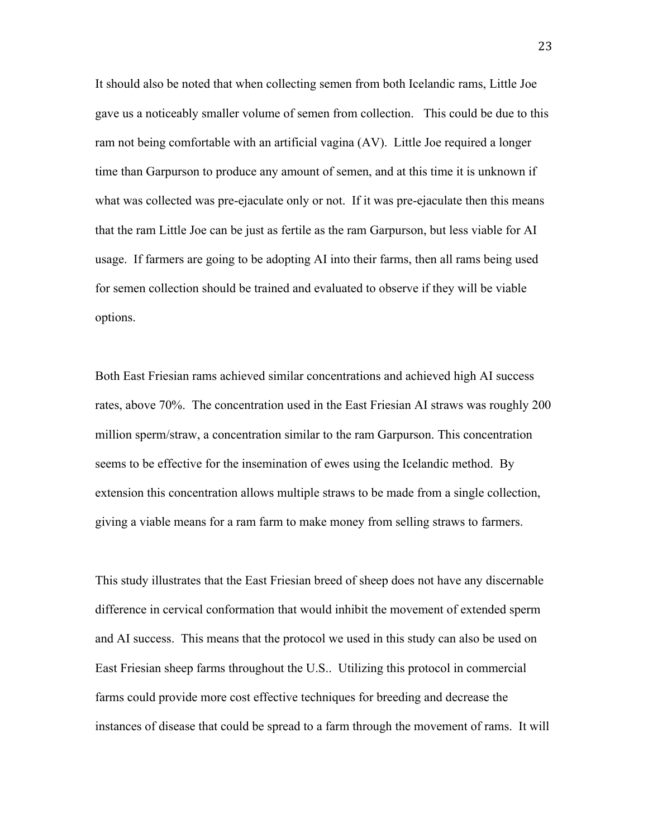It should also be noted that when collecting semen from both Icelandic rams, Little Joe gave us a noticeably smaller volume of semen from collection. This could be due to this ram not being comfortable with an artificial vagina (AV). Little Joe required a longer time than Garpurson to produce any amount of semen, and at this time it is unknown if what was collected was pre-ejaculate only or not. If it was pre-ejaculate then this means that the ram Little Joe can be just as fertile as the ram Garpurson, but less viable for AI usage. If farmers are going to be adopting AI into their farms, then all rams being used for semen collection should be trained and evaluated to observe if they will be viable options.

Both East Friesian rams achieved similar concentrations and achieved high AI success rates, above 70%. The concentration used in the East Friesian AI straws was roughly 200 million sperm/straw, a concentration similar to the ram Garpurson. This concentration seems to be effective for the insemination of ewes using the Icelandic method. By extension this concentration allows multiple straws to be made from a single collection, giving a viable means for a ram farm to make money from selling straws to farmers.

This study illustrates that the East Friesian breed of sheep does not have any discernable difference in cervical conformation that would inhibit the movement of extended sperm and AI success. This means that the protocol we used in this study can also be used on East Friesian sheep farms throughout the U.S.. Utilizing this protocol in commercial farms could provide more cost effective techniques for breeding and decrease the instances of disease that could be spread to a farm through the movement of rams. It will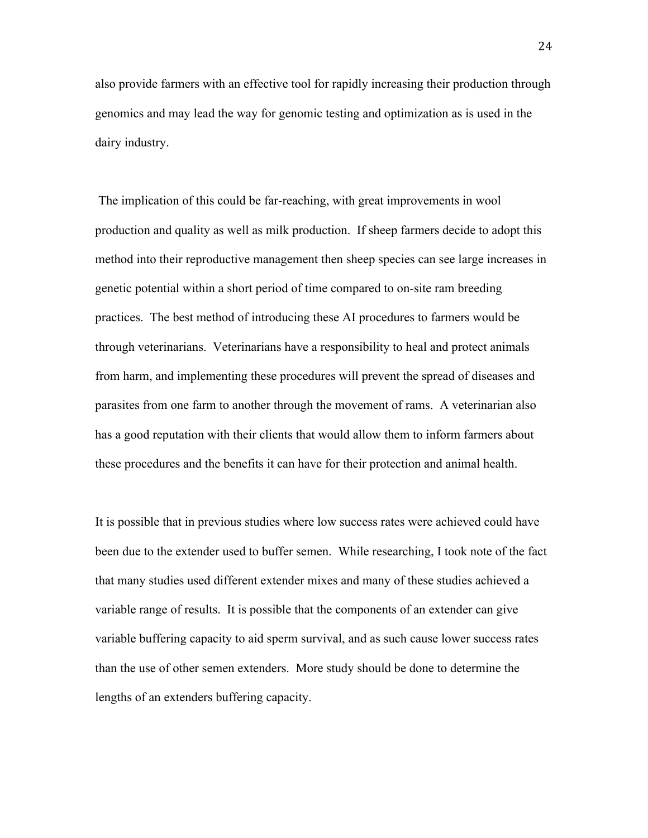also provide farmers with an effective tool for rapidly increasing their production through genomics and may lead the way for genomic testing and optimization as is used in the dairy industry.

The implication of this could be far-reaching, with great improvements in wool production and quality as well as milk production. If sheep farmers decide to adopt this method into their reproductive management then sheep species can see large increases in genetic potential within a short period of time compared to on-site ram breeding practices. The best method of introducing these AI procedures to farmers would be through veterinarians. Veterinarians have a responsibility to heal and protect animals from harm, and implementing these procedures will prevent the spread of diseases and parasites from one farm to another through the movement of rams. A veterinarian also has a good reputation with their clients that would allow them to inform farmers about these procedures and the benefits it can have for their protection and animal health.

It is possible that in previous studies where low success rates were achieved could have been due to the extender used to buffer semen. While researching, I took note of the fact that many studies used different extender mixes and many of these studies achieved a variable range of results. It is possible that the components of an extender can give variable buffering capacity to aid sperm survival, and as such cause lower success rates than the use of other semen extenders. More study should be done to determine the lengths of an extenders buffering capacity.

24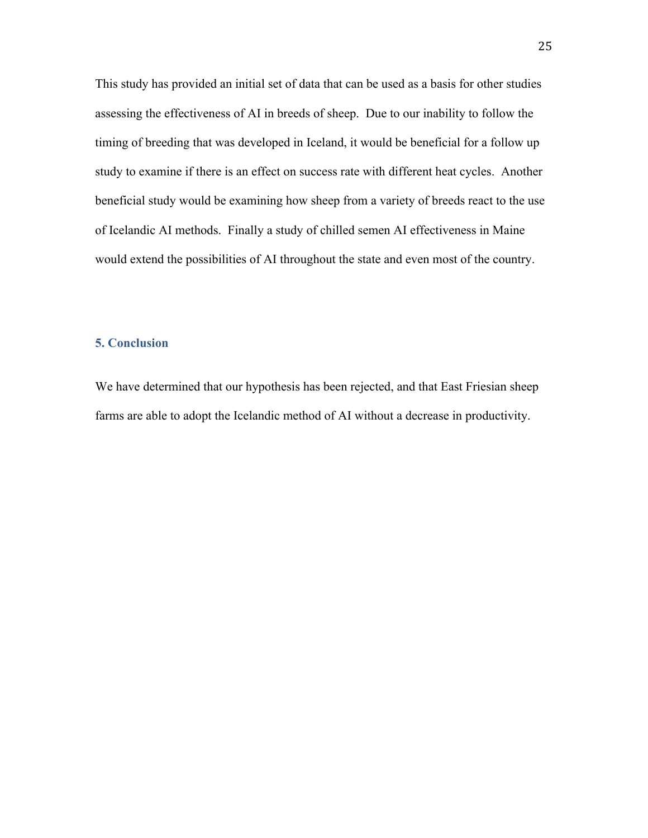This study has provided an initial set of data that can be used as a basis for other studies assessing the effectiveness of AI in breeds of sheep. Due to our inability to follow the timing of breeding that was developed in Iceland, it would be beneficial for a follow up study to examine if there is an effect on success rate with different heat cycles. Another beneficial study would be examining how sheep from a variety of breeds react to the use of Icelandic AI methods. Finally a study of chilled semen AI effectiveness in Maine would extend the possibilities of AI throughout the state and even most of the country.

## **5. Conclusion**

We have determined that our hypothesis has been rejected, and that East Friesian sheep farms are able to adopt the Icelandic method of AI without a decrease in productivity.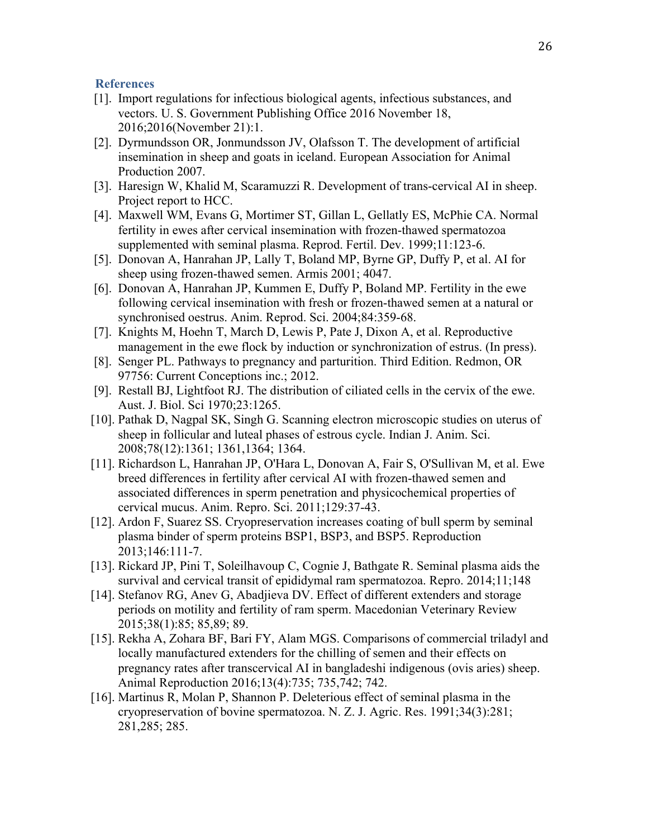### **References**

- [1]. Import regulations for infectious biological agents, infectious substances, and vectors. U. S. Government Publishing Office 2016 November 18, 2016;2016(November 21):1.
- [2]. Dyrmundsson OR, Jonmundsson JV, Olafsson T. The development of artificial insemination in sheep and goats in iceland. European Association for Animal Production 2007.
- [3]. Haresign W, Khalid M, Scaramuzzi R. Development of trans-cervical AI in sheep. Project report to HCC.
- [4]. Maxwell WM, Evans G, Mortimer ST, Gillan L, Gellatly ES, McPhie CA. Normal fertility in ewes after cervical insemination with frozen-thawed spermatozoa supplemented with seminal plasma. Reprod. Fertil. Dev. 1999;11:123-6.
- [5]. Donovan A, Hanrahan JP, Lally T, Boland MP, Byrne GP, Duffy P, et al. AI for sheep using frozen-thawed semen. Armis 2001; 4047.
- [6]. Donovan A, Hanrahan JP, Kummen E, Duffy P, Boland MP. Fertility in the ewe following cervical insemination with fresh or frozen-thawed semen at a natural or synchronised oestrus. Anim. Reprod. Sci. 2004;84:359-68.
- [7]. Knights M, Hoehn T, March D, Lewis P, Pate J, Dixon A, et al. Reproductive management in the ewe flock by induction or synchronization of estrus. (In press).
- [8]. Senger PL. Pathways to pregnancy and parturition. Third Edition. Redmon, OR 97756: Current Conceptions inc.; 2012.
- [9]. Restall BJ, Lightfoot RJ. The distribution of ciliated cells in the cervix of the ewe. Aust. J. Biol. Sci 1970;23:1265.
- [10]. Pathak D, Nagpal SK, Singh G. Scanning electron microscopic studies on uterus of sheep in follicular and luteal phases of estrous cycle. Indian J. Anim. Sci. 2008;78(12):1361; 1361,1364; 1364.
- [11]. Richardson L, Hanrahan JP, O'Hara L, Donovan A, Fair S, O'Sullivan M, et al. Ewe breed differences in fertility after cervical AI with frozen-thawed semen and associated differences in sperm penetration and physicochemical properties of cervical mucus. Anim. Repro. Sci. 2011;129:37-43.
- [12]. Ardon F, Suarez SS. Cryopreservation increases coating of bull sperm by seminal plasma binder of sperm proteins BSP1, BSP3, and BSP5. Reproduction 2013;146:111-7.
- [13]. Rickard JP, Pini T, Soleilhavoup C, Cognie J, Bathgate R. Seminal plasma aids the survival and cervical transit of epididymal ram spermatozoa. Repro. 2014;11;148
- [14]. Stefanov RG, Anev G, Abadjieva DV. Effect of different extenders and storage periods on motility and fertility of ram sperm. Macedonian Veterinary Review 2015;38(1):85; 85,89; 89.
- [15]. Rekha A, Zohara BF, Bari FY, Alam MGS. Comparisons of commercial triladyl and locally manufactured extenders for the chilling of semen and their effects on pregnancy rates after transcervical AI in bangladeshi indigenous (ovis aries) sheep. Animal Reproduction 2016;13(4):735; 735,742; 742.
- [16]. Martinus R, Molan P, Shannon P. Deleterious effect of seminal plasma in the cryopreservation of bovine spermatozoa. N. Z. J. Agric. Res. 1991;34(3):281; 281,285; 285.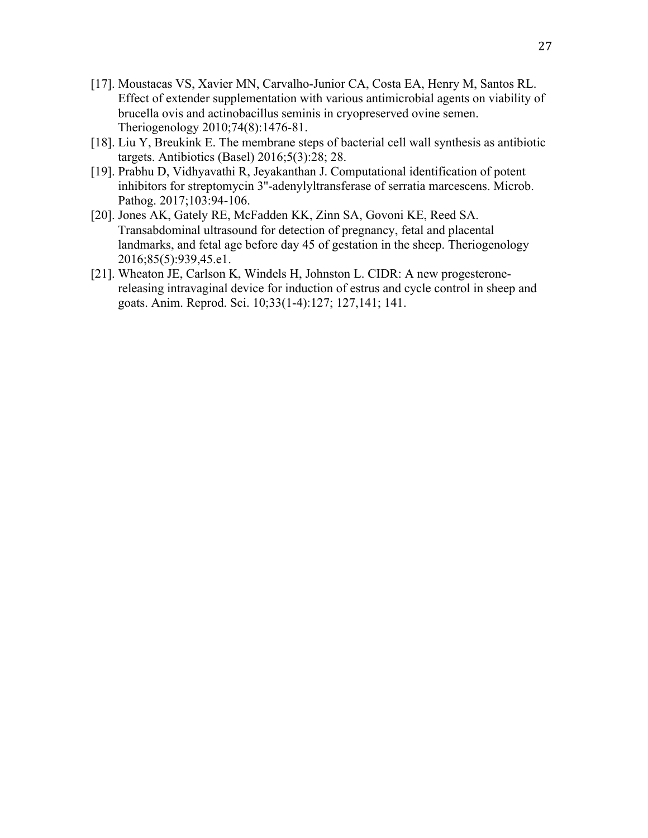- [17]. Moustacas VS, Xavier MN, Carvalho-Junior CA, Costa EA, Henry M, Santos RL. Effect of extender supplementation with various antimicrobial agents on viability of brucella ovis and actinobacillus seminis in cryopreserved ovine semen. Theriogenology 2010;74(8):1476-81.
- [18]. Liu Y, Breukink E. The membrane steps of bacterial cell wall synthesis as antibiotic targets. Antibiotics (Basel) 2016;5(3):28; 28.
- [19]. Prabhu D, Vidhyavathi R, Jeyakanthan J. Computational identification of potent inhibitors for streptomycin 3''-adenylyltransferase of serratia marcescens. Microb. Pathog. 2017;103:94-106.
- [20]. Jones AK, Gately RE, McFadden KK, Zinn SA, Govoni KE, Reed SA. Transabdominal ultrasound for detection of pregnancy, fetal and placental landmarks, and fetal age before day 45 of gestation in the sheep. Theriogenology 2016;85(5):939,45.e1.
- [21]. Wheaton JE, Carlson K, Windels H, Johnston L. CIDR: A new progesteronereleasing intravaginal device for induction of estrus and cycle control in sheep and goats. Anim. Reprod. Sci. 10;33(1-4):127; 127,141; 141.